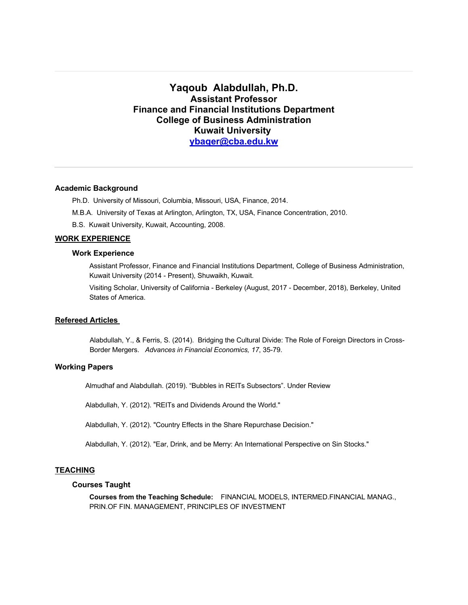# **Yaqoub Alabdullah, Ph.D. Assistant Professor Finance and Financial Institutions Department College of Business Administration Kuwait University ybaqer@cba.edu.kw**

### **Academic Background**

Ph.D. University of Missouri, Columbia, Missouri, USA, Finance, 2014.

M.B.A. University of Texas at Arlington, Arlington, TX, USA, Finance Concentration, 2010.

B.S. Kuwait University, Kuwait, Accounting, 2008.

# **WORK EXPERIENCE**

### **Work Experience**

Assistant Professor, Finance and Financial Institutions Department, College of Business Administration, Kuwait University (2014 - Present), Shuwaikh, Kuwait.

Visiting Scholar, University of California - Berkeley (August, 2017 - December, 2018), Berkeley, United States of America.

### **Refereed Articles**

Alabdullah, Y., & Ferris, S. (2014). Bridging the Cultural Divide: The Role of Foreign Directors in Cross-Border Mergers. *Advances in Financial Economics, 17*, 35-79.

### **Working Papers**

Almudhaf and Alabdullah. (2019). "Bubbles in REITs Subsectors". Under Review

Alabdullah, Y. (2012). "REITs and Dividends Around the World."

Alabdullah, Y. (2012). "Country Effects in the Share Repurchase Decision."

Alabdullah, Y. (2012). "Ear, Drink, and be Merry: An International Perspective on Sin Stocks."

### **TEACHING**

## **Courses Taught**

**Courses from the Teaching Schedule:** FINANCIAL MODELS, INTERMED.FINANCIAL MANAG., PRIN.OF FIN. MANAGEMENT, PRINCIPLES OF INVESTMENT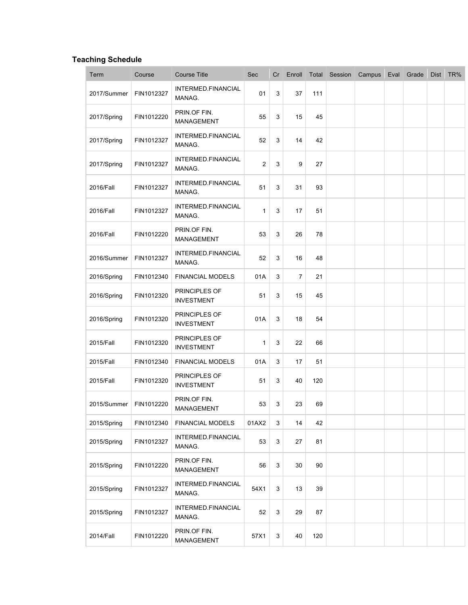# **Teaching Schedule**

| Term        | Course     | <b>Course Title</b>                | Sec   | Cr | Enroll         |     | Total Session Campus | Eval | Grade | Dist | TR% |
|-------------|------------|------------------------------------|-------|----|----------------|-----|----------------------|------|-------|------|-----|
| 2017/Summer | FIN1012327 | INTERMED.FINANCIAL<br>MANAG.       | 01    | 3  | 37             | 111 |                      |      |       |      |     |
| 2017/Spring | FIN1012220 | PRIN.OF FIN.<br>MANAGEMENT         | 55    | 3  | 15             | 45  |                      |      |       |      |     |
| 2017/Spring | FIN1012327 | INTERMED.FINANCIAL<br>MANAG.       | 52    | 3  | 14             | 42  |                      |      |       |      |     |
| 2017/Spring | FIN1012327 | INTERMED.FINANCIAL<br>MANAG.       | 2     | 3  | 9              | 27  |                      |      |       |      |     |
| 2016/Fall   | FIN1012327 | INTERMED.FINANCIAL<br>MANAG.       | 51    | 3  | 31             | 93  |                      |      |       |      |     |
| 2016/Fall   | FIN1012327 | INTERMED.FINANCIAL<br>MANAG.       | 1     | 3  | 17             | 51  |                      |      |       |      |     |
| 2016/Fall   | FIN1012220 | PRIN.OF FIN.<br>MANAGEMENT         | 53    | 3  | 26             | 78  |                      |      |       |      |     |
| 2016/Summer | FIN1012327 | INTERMED.FINANCIAL<br>MANAG.       | 52    | 3  | 16             | 48  |                      |      |       |      |     |
| 2016/Spring | FIN1012340 | <b>FINANCIAL MODELS</b>            | 01A   | 3  | $\overline{7}$ | 21  |                      |      |       |      |     |
| 2016/Spring | FIN1012320 | PRINCIPLES OF<br><b>INVESTMENT</b> | 51    | 3  | 15             | 45  |                      |      |       |      |     |
| 2016/Spring | FIN1012320 | PRINCIPLES OF<br><b>INVESTMENT</b> | 01A   | 3  | 18             | 54  |                      |      |       |      |     |
| 2015/Fall   | FIN1012320 | PRINCIPLES OF<br><b>INVESTMENT</b> | 1     | 3  | 22             | 66  |                      |      |       |      |     |
| 2015/Fall   | FIN1012340 | <b>FINANCIAL MODELS</b>            | 01A   | 3  | 17             | 51  |                      |      |       |      |     |
| 2015/Fall   | FIN1012320 | PRINCIPLES OF<br><b>INVESTMENT</b> | 51    | 3  | 40             | 120 |                      |      |       |      |     |
| 2015/Summer | FIN1012220 | PRIN.OF FIN.<br>MANAGEMENT         | 53    | 3  | 23             | 69  |                      |      |       |      |     |
| 2015/Spring | FIN1012340 | <b>FINANCIAL MODELS</b>            | 01AX2 | 3  | 14             | 42  |                      |      |       |      |     |
| 2015/Spring | FIN1012327 | INTERMED.FINANCIAL<br>MANAG.       | 53    | 3  | 27             | 81  |                      |      |       |      |     |
| 2015/Spring | FIN1012220 | PRIN.OF FIN.<br>MANAGEMENT         | 56    | 3  | 30             | 90  |                      |      |       |      |     |
| 2015/Spring | FIN1012327 | INTERMED.FINANCIAL<br>MANAG.       | 54X1  | 3  | 13             | 39  |                      |      |       |      |     |
| 2015/Spring | FIN1012327 | INTERMED.FINANCIAL<br>MANAG.       | 52    | 3  | 29             | 87  |                      |      |       |      |     |
| 2014/Fall   | FIN1012220 | PRIN.OF FIN.<br>MANAGEMENT         | 57X1  | 3  | 40             | 120 |                      |      |       |      |     |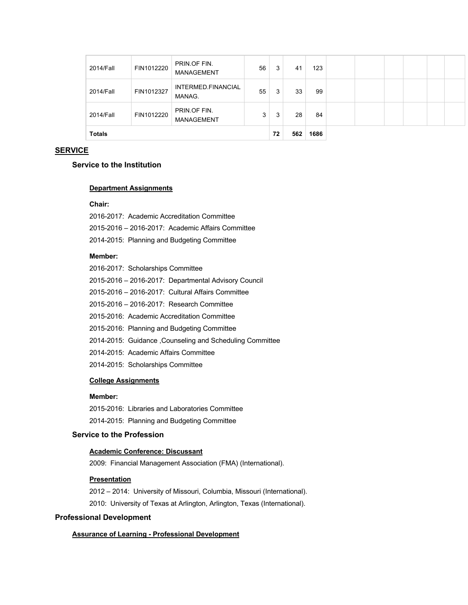| <b>Totals</b> |            |                                   |    | 72 | 562 | 1686 |  |  |  |
|---------------|------------|-----------------------------------|----|----|-----|------|--|--|--|
| 2014/Fall     | FIN1012220 | PRIN.OF FIN.<br><b>MANAGEMENT</b> | 3  | 3  | 28  | 84   |  |  |  |
| 2014/Fall     | FIN1012327 | INTERMED.FINANCIAL<br>MANAG.      | 55 | 3  | 33  | 99   |  |  |  |
| 2014/Fall     | FIN1012220 | PRIN.OF FIN.<br><b>MANAGEMENT</b> | 56 | 3  | 41  | 123  |  |  |  |

## **SERVICE**

# **Service to the Institution**

#### **Department Assignments**

#### **Chair:**

| 2016-2017: Academic Accreditation Committee       |
|---------------------------------------------------|
| 2015-2016 – 2016-2017: Academic Affairs Committee |
| 2014-2015: Planning and Budgeting Committee       |

## **Member:**

| 2016-2017: Scholarships Committee                        |
|----------------------------------------------------------|
| 2015-2016 – 2016-2017: Departmental Advisory Council     |
| 2015-2016 – 2016-2017: Cultural Affairs Committee        |
| 2015-2016 – 2016-2017: Research Committee                |
| 2015-2016: Academic Accreditation Committee              |
| 2015-2016: Planning and Budgeting Committee              |
| 2014-2015: Guidance, Counseling and Scheduling Committee |
| 2014-2015: Academic Affairs Committee                    |
| 2014-2015: Scholarships Committee                        |
|                                                          |

## **College Assignments**

# **Member:**

2015-2016: Libraries and Laboratories Committee 2014-2015: Planning and Budgeting Committee

# **Service to the Profession**

# **Academic Conference: Discussant**

2009: Financial Management Association (FMA) (International).

### **Presentation**

2012 – 2014: University of Missouri, Columbia, Missouri (International). 2010: University of Texas at Arlington, Arlington, Texas (International).

# **Professional Development**

# **Assurance of Learning - Professional Development**